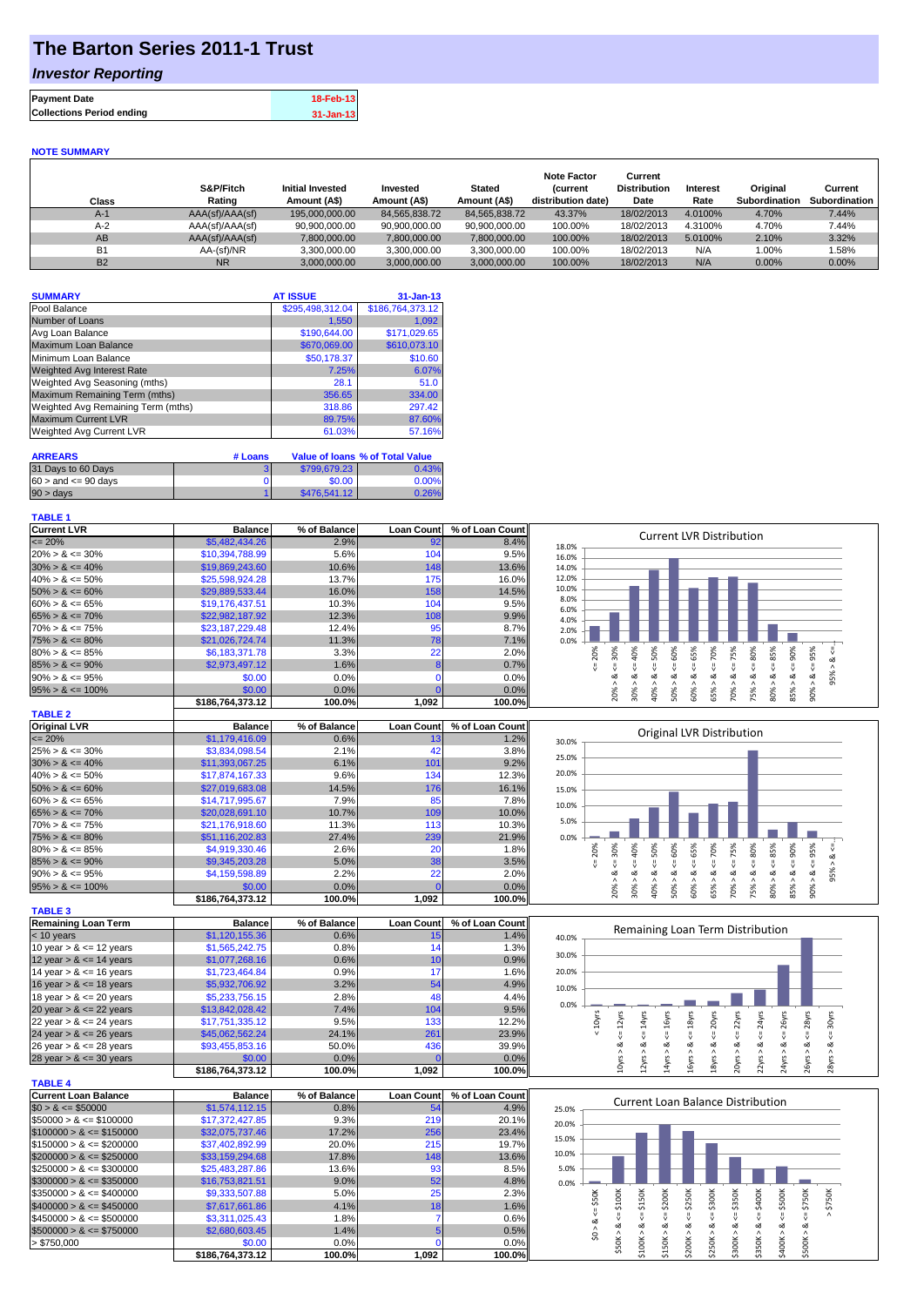## **The Barton Series 2011-1 Trust**

### *Investor Reporting*

| <b>Payment Date</b>              | 18-Feb-13     |
|----------------------------------|---------------|
| <b>Collections Period ending</b> | $31 - Jan-13$ |

#### **NOTE SUMMARY**

| Class     | S&P/Fitch<br>Rating | <b>Initial Invested</b><br>Amount (A\$) | Invested<br>Amount (A\$) | <b>Stated</b><br>Amount (A\$) | <b>Note Factor</b><br><b>Current</b><br>distribution date) | Current<br><b>Distribution</b><br>Date | Interest<br>Rate | Original<br>Subordination | Current<br>Subordination |
|-----------|---------------------|-----------------------------------------|--------------------------|-------------------------------|------------------------------------------------------------|----------------------------------------|------------------|---------------------------|--------------------------|
| $A-1$     | AAA(sf)/AAA(sf)     | 195,000,000,00                          | 84.565.838.72            | 84.565.838.72                 | 43.37%                                                     | 18/02/2013                             | 4.0100%          | 4.70%                     | 7.44%                    |
| $A-2$     | AAA(sf)/AAA(sf)     | 90.900.000.00                           | 90.900.000.00            | 90.900.000.00                 | 100.00%                                                    | 18/02/2013                             | 4.3100%          | 4.70%                     | 7.44%                    |
| AB        | AAA(sf)/AAA(sf)     | 7,800,000.00                            | 7,800,000.00             | 7,800,000.00                  | 100.00%                                                    | 18/02/2013                             | 5.0100%          | 2.10%                     | 3.32%                    |
| <b>B1</b> | AA-(sf)/NR          | 3,300,000.00                            | 3.300.000.00             | 3.300.000.00                  | 100.00%                                                    | 18/02/2013                             | N/A              | $0.00\%$                  | .58%                     |
| <b>B2</b> | <b>NR</b>           | 3.000.000.00                            | 3.000.000.00             | 3.000.000.00                  | 100.00%                                                    | 18/02/2013                             | N/A              | $0.00\%$                  | $0.00\%$                 |

| <b>SUMMARY</b>                     | <b>AT ISSUE</b>  | $31 - Jan-13$    |
|------------------------------------|------------------|------------------|
| Pool Balance                       | \$295,498,312.04 | \$186,764,373.12 |
| Number of Loans                    | 1,550            | 1,092            |
| Avg Loan Balance                   | \$190,644.00     | \$171,029.65     |
| Maximum Loan Balance               | \$670,069.00     | \$610,073.10     |
| Minimum Loan Balance               | \$50,178.37      | \$10.60          |
| <b>Weighted Avg Interest Rate</b>  | 7.25%            | 6.07%            |
| Weighted Avg Seasoning (mths)      | 28.1             | 51.0             |
| Maximum Remaining Term (mths)      | 356.65           | 334.00           |
| Weighted Avg Remaining Term (mths) | 318.86           | 297.42           |
| <b>Maximum Current LVR</b>         | 89.75%           | 87.60%           |
| Weighted Avg Current LVR           | 61.03%           | 57.16%           |

| <b>ARREARS</b>            | # Loans |              | Value of Ioans % of Total Value |
|---------------------------|---------|--------------|---------------------------------|
| 31 Days to 60 Days        |         | \$799,679.23 | 0.43%                           |
| $60 >$ and $\leq 90$ days |         | \$0.00       | 0.00%                           |
| $90 > \text{days}$        |         | \$476,541.12 | 0.26%                           |

#### **TABLE 1**

| <b>Current LVR</b>   | <b>Balance</b>   | % of Balance | <b>Loan Count</b> | % of Loan Count | <b>Current LVR Distribution</b>                                                           |
|----------------------|------------------|--------------|-------------------|-----------------|-------------------------------------------------------------------------------------------|
| $\leq$ 20%           | \$5,482,434.26   | 2.9%         | 92                | 8.4%            | 18.0%                                                                                     |
| $20\% > 8 \le 30\%$  | \$10,394,788.99  | 5.6%         | 104               | 9.5%            | 16.0%                                                                                     |
| $30\% > 8 \le 40\%$  | \$19,869,243.60  | 10.6%        | 148               | 13.6%           | 14.0%                                                                                     |
| $40\% > 8 \le 50\%$  | \$25,598,924.28  | 13.7%        | 175               | 16.0%           | 12.0%                                                                                     |
| $50\% > 8 \le 60\%$  | \$29,889,533.44  | 16.0%        | 158               | 14.5%           | 10.0%                                                                                     |
| $60\% > 8 \le 65\%$  | \$19,176,437.51  | 10.3%        | 104               | 9.5%            | 8.0%<br>6.0%                                                                              |
| $65\% > 8 \le 70\%$  | \$22,982,187,92  | 12.3%        | 108               | 9.9%            | 4.0%                                                                                      |
| $70\% > 8 \le 75\%$  | \$23,187,229,48  | 12.4%        | 95                | 8.7%            | 2.0%                                                                                      |
| $75\% > 8 \le 80\%$  | \$21,026,724.74  | 11.3%        | 78                | 7.1%            | 0.0%                                                                                      |
| $80\% > 8 \le 85\%$  | \$6,183,371,78   | 3.3%         | 22                | 2.0%            | 60%<br>65%<br>70%<br>Ж<br>ŏ<br>Š.<br>င္တ<br>æ<br>င္က                                      |
| $85\% > 8 \le 90\%$  | \$2,973,497.12   | 1.6%         |                   | 0.7%            |                                                                                           |
| $90\% > 8 \le 95\%$  | \$0.00           | $0.0\%$      |                   | 0.0%            | οZ<br>ക                                                                                   |
| $95\% > 8 \le 100\%$ | \$0.00           | $0.0\%$      |                   | 0.0%            | 50%<br>℅<br>℅<br>ò,<br>65%<br>š<br>š<br>30%<br>š<br>ŭ٦<br>∘                               |
|                      | \$186,764,373.12 | 100.0%       | 1,092             | 100.0%          | 85<br>$\bar{N}$<br>Ō<br>$\bar{\infty}$<br>N<br>$\bar{\sigma}$<br>$\overline{\phantom{0}}$ |
| TARLE <sub>2</sub>   |                  |              |                   |                 |                                                                                           |

| <u>. Receive</u>     |                  |              |                   |                 |       |            |       |         |                           |         |     |   |                |                |   |  |
|----------------------|------------------|--------------|-------------------|-----------------|-------|------------|-------|---------|---------------------------|---------|-----|---|----------------|----------------|---|--|
| <b>Original LVR</b>  | <b>Balance</b>   | % of Balance | <b>Loan Count</b> | % of Loan Count |       |            |       |         | Original LVR Distribution |         |     |   |                |                |   |  |
| $\leq$ 20%           | \$1,179,416.09   | 0.6%         | IJ                | 1.2%            | 30.0% |            |       |         |                           |         |     |   |                |                |   |  |
| $25\% > 8 \le 30\%$  | \$3,834,098.54   | 2.1%         | 42                | 3.8%            | 25.0% |            |       |         |                           |         |     |   |                |                |   |  |
| $30\% > 8 \le 40\%$  | \$11,393,067.25  | 6.1%         | 101               | 9.2%            |       |            |       |         |                           |         |     |   |                |                |   |  |
| $40\% > 8 \le 50\%$  | \$17,874,167,33  | 9.6%         | 134               | 12.3%           | 20.0% |            |       |         |                           |         |     |   |                |                |   |  |
| $50\% > 8 \le 60\%$  | \$27,019,683.08  | 14.5%        | 176               | 16.1%           | 15.0% |            |       |         |                           |         |     |   |                |                |   |  |
| $60\% > 8 \le 65\%$  | \$14,717,995.67  | 7.9%         | 85                | 7.8%            | 10.0% |            |       |         |                           |         |     |   |                |                |   |  |
| $65\% > 8 \le 70\%$  | \$20,028,691.10  | 10.7%        | 109               | 10.0%           |       |            |       |         |                           |         |     |   |                |                |   |  |
| $70\% > 8 \le 75\%$  | \$21,176,918.60  | 11.3%        | 113               | 10.3%           | 5.0%  |            |       |         |                           |         |     |   |                |                |   |  |
| $75\% > 8 \le 80\%$  | \$51,116,202.83  | 27.4%        | 239               | 21.9%           | 0.0%  |            |       |         |                           |         |     |   |                |                |   |  |
| $80\% > 8 \le 85\%$  | \$4,919,330.46   | 2.6%         | 20                | 1.8%            |       | 20%<br>30% | $*0%$ | $\circ$ | 60%                       | ℅<br>Ġ, | 70% | ℅ | 80%            | ℅<br>இ<br>Ŗ,   | æ |  |
| $85\% > 8 \le 90\%$  | \$9,345,203,28   | 5.0%         | 38                | 3.5%            |       |            |       |         |                           |         |     |   |                |                |   |  |
| $90\% > 8 \le 95\%$  | \$4,159,598.89   | 2.2%         | 22                | 2.0%            |       | ∞          |       |         | ∞                         | ∞       | ∞   | ∞ | ∞              | ∞              |   |  |
| $95\% > 8 \le 100\%$ | \$0.00           | 0.0%         |                   | 0.0%            |       | 20%        | ŝ     | ŏ       | Ŝ.                        |         | Ğ,  | ⋗ | ū٦             | æ<br><u>කි</u> | å |  |
|                      | \$186.764.373.12 | 100.0%       | 1.092             | 100.0%          |       |            |       | ÷       |                           | 8       |     |   | $\overline{ }$ | 55             |   |  |

| <b>TABLE 3</b>             |                  |              |                   |                 |
|----------------------------|------------------|--------------|-------------------|-----------------|
| <b>Remaining Loan Term</b> | <b>Balance</b>   | % of Balance | <b>Loan Count</b> | % of Loan Count |
| $<$ 10 years               | \$1,120,155.36   | 0.6%         | 15                | 1.4%            |
| 10 year $> 8 \le 12$ years | \$1,565,242.75   | 0.8%         | 14                | 1.3%            |
| 12 year $> 8 \le 14$ years | \$1,077,268.16   | 0.6%         | 10 <sup>10</sup>  | 0.9%            |
| 14 year $> 8 \le 16$ years | \$1,723,464.84   | 0.9%         | 17                | 1.6%            |
| 16 year $> 8 \le 18$ years | \$5,932,706.92   | 3.2%         | 54                | 4.9%            |
| 18 year $> 8 \le 20$ years | \$5,233,756.15   | 2.8%         | 48                | 4.4%            |
| 20 year $> 8 \le 22$ years | \$13,842,028,42  | 7.4%         | 104               | 9.5%            |
| 22 year $> 8 \le 24$ years | \$17,751,335.12  | 9.5%         | 133               | 12.2%           |
| 24 year $> 8 \le 26$ years | \$45,062,562.24  | 24.1%        | 261               | 23.9%           |
| 26 year $> 8 \le 28$ years | \$93,455,853.16  | 50.0%        | 436               | 39.9%           |
| 28 year $> 8 \le 30$ years | \$0.00           | 0.0%         |                   | 0.0%            |
|                            | \$186.764.373.12 | 100.0%       | 1.092             | 100.0%          |

| <b>TABLE 4</b>               |                  |              |                   |                 |
|------------------------------|------------------|--------------|-------------------|-----------------|
| Current Loan Balance         | <b>Balance</b>   | % of Balance | <b>Loan Count</b> | % of Loan Count |
| $$0 > 8 \leq $50000$         | \$1,574,112.15   | 0.8%         | 54                | 4.9%            |
| $$50000 > 8 \leq $100000$    | \$17,372,427,85  | 9.3%         | 219               | 20.1%           |
| $$100000 > 8 \leq $150000$   | \$32,075,737.46  | 17.2%        | 256               | 23.4%           |
| $$150000 > 8 \leq $200000$   | \$37,402,892.99  | 20.0%        | 215               | 19.7%           |
| $$200000 > 8 \leq $250000$   | \$33,159,294.68  | 17.8%        | 148               | 13.6%           |
| $$250000 > 8 \leq $300000$   | \$25,483,287.86  | 13.6%        | 93                | 8.5%            |
| $$300000 > 8 \leq $350000$   | \$16,753,821.51  | $9.0\%$      | 52                | 4.8%            |
| $\$350000 > 8 \leq \$400000$ | \$9,333,507.88   | 5.0%         | 25                | 2.3%            |
| $$400000 > 8 \leq $450000$   | \$7,617,661,86   | 4.1%         | 18                | 1.6%            |
| $$450000 > 8 \leq $500000$   | \$3.311.025.43   | 1.8%         |                   | 0.6%            |
| $$500000 > 8 \leq $750000$   | \$2,680,603.45   | 1.4%         |                   | 0.5%            |
| > \$750,000                  | \$0.00           | $0.0\%$      |                   | 0.0%            |
|                              | \$186.764.373.12 | 100.0%       | 1.092             | 100.0%l         |